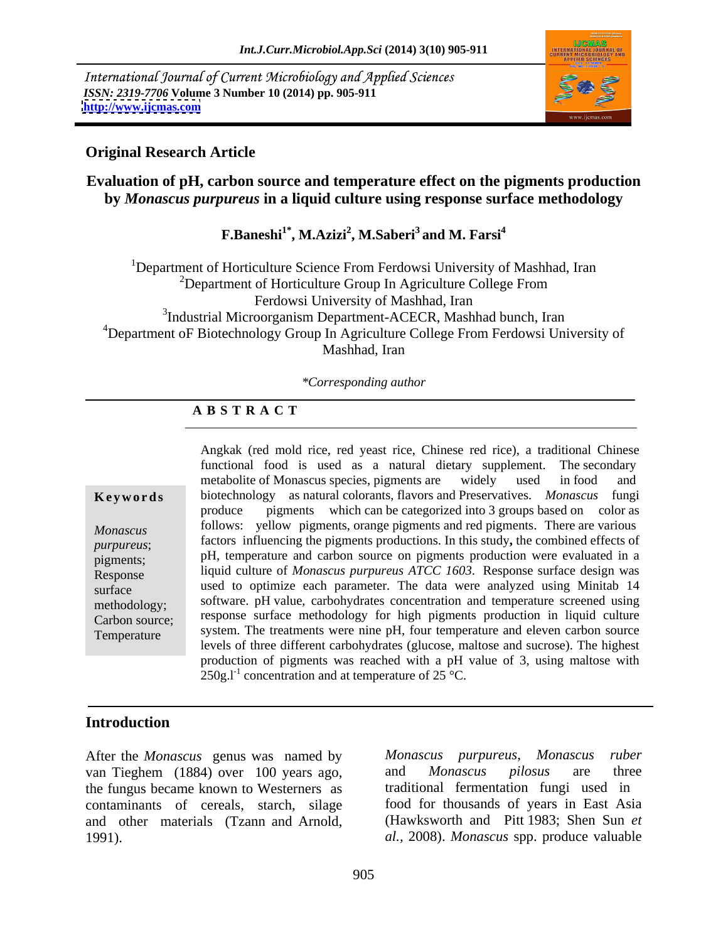International Journal of Current Microbiology and Applied Sciences *ISSN: 2319-7706* **Volume 3 Number 10 (2014) pp. 905-911 <http://www.ijcmas.com>**



#### **Original Research Article**

# **Evaluation of pH, carbon source and temperature effect on the pigments production by** *Monascus purpureus* **in a liquid culture using response surface methodology**

**F.Baneshi1\* , M.Azizi<sup>2</sup> , M.Saberi<sup>3</sup> and M. Farsi<sup>4</sup>**

<sup>1</sup>Department of Horticulture Science From Ferdowsi University of Mashhad, Iran  $2D$ epartment of Horticulture Group In Agriculture College From Ferdowsi University of Mashhad, Iran <sup>3</sup>Industrial Microorganism Department-ACECR, Mashhad bunch, Iran <sup>4</sup>Department oF Biotechnology Group In Agriculture College From Ferdowsi University of Mashhad, Iran

*\*Corresponding author* 

### **A B S T R A C T**

**Ke ywo rds** biotechnology as natural colorants, flavors and Preservatives. *Monascus* fungi *Monascus*follows: yellow pigments, orange pigments and red pigments. There are various *purpureus*; factors influencing the pigments productions. In this study**,** the combined effects of pigments; pH, temperature and carbon source on pigments production were evaluated in a Response liquid culture of *Monascus purpureus ATCC 1603*. Response surface design was surface used to optimize each parameter. The data were analyzed using Minitab 14 methodology; software. pH value, carbohydrates concentration and temperature screened using Carbon source; response surface methodology for high pigments production in liquid culture Temperature system. The treatments were nine pH, four temperature and eleven carbon source Angkak (red mold rice, red yeast rice, Chinese red rice), a traditional Chinese functional food is used as a natural dietary supplement. The secondary metabolite of Monascus species, pigments are widely used in food and produce pigments which can be categorized into 3 groups based on color as levels of three different carbohydrates (glucose, maltose and sucrose). The highest production of pigments was reached with a pH value of 3, using maltose with  $250g.I<sup>-1</sup>$  concentration and at temperature of  $25^{\circ}$ C.

# **Introduction**

van Tieghem (1884) over 100 years ago, and *Monascus pilosus* are three the fungus became known to Westerners as contaminants of cereals, starch, silage and other materials (Tzann and Arnold, 1991). *al.,* 2008). *Monascus* spp. produce valuable

After the *Monascus* genus was named by *Monascus purpureus*, *Monascus ruber* and *Monascus pilosus* are three traditional fermentation fungi used in food for thousands of years in East Asia (Hawksworth and Pitt 1983; Shen Sun *et*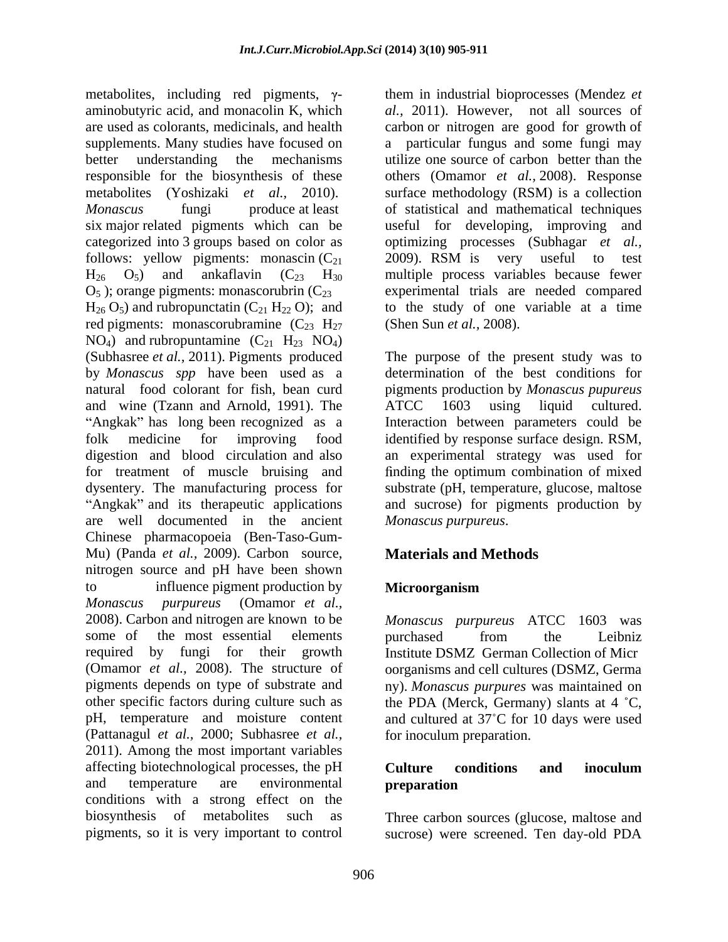metabolites, including red pigments,  $\gamma$ aminobutyric acid, and monacolin K, which *al.,* 2011). However, not all sources of are used as colorants, medicinals, and health carbon or nitrogen are good for growth of supplements. Many studies have focused on a particular fungus and some fungi may better understanding the mechanisms utilize one source of carbon better than the responsible for the biosynthesis of these others (Omamor *et al.,* 2008). Response metabolites (Yoshizaki *et al.,* 2010). surface methodology (RSM) is a collection *Monascus* fungi produce at least of statistical and mathematical techniques six major related pigments which can be useful for developing, improving and categorized into 3 groups based on color as optimizing processes (Subhagar *et al.,* follows: yellow pigments: monascin ( $C_{21}$  2009). RSM is very useful to test  $H_{26}$   $O_5$ ) and ankaflavin ( $C_{23}$   $H_{30}$  multiple process variables because fewer  $H_{26}$  O<sub>5</sub>) and ankaflavin (C<sub>23</sub> H<sub>30</sub> multiple process variables because fewer  $O_5$ ); orange pigments: monascorubrin ( $C_{23}$  experimental trials are needed compared  $H_{26}$  O<sub>5</sub>) and rubropunctatin (C<sub>21</sub> H<sub>22</sub> O); and red pigments: monascorubramine  $(C_{23} H_{27})$  $NO<sub>4</sub>$ ) and rubropuntamine  $(C<sub>21</sub> H<sub>23</sub> NO<sub>4</sub>)$ <br>(Subhasree *et al.*, 2011). Pigments produced by *Monascus spp* have been used as a natural food colorant for fish, bean curd pigments production by *Monascus pupureus* and wine (Tzann and Arnold, 1991). The ATCC 1603 using liquid cultured. folk medicine for improving food identified by response surface design. RSM, digestion and blood circulation and also an experimental strategy was used for for treatment of muscle bruising and finding the optimum combination of mixed dysentery. The manufacturing process for are well documented in the ancient Chinese pharmacopoeia (Ben-Taso-Gum- Mu) (Panda *et al.*, 2009). Carbon source, nitrogen source and pH have been shown to influence pigment production by **Microorganism** *Monascus purpureus* (Omamor *et al.,* 2008). Carbon and nitrogen are known to be *Monascus purpureus* ATCC 1603 was some of the most essential elements burchased from the Leibniz required by fungi for their growth Institute DSMZ German Collection of Micr (Omamor *et al.,* 2008). The structure of oorganisms and cell cultures (DSMZ, Germa pigments depends on type of substrate and ny). *Monascus purpures* was maintained on other specific factors during culture such as the PDA (Merck, Germany) slants at 4 °C, pH, temperature and moisture content and cultured at 37°C for 10 days were used (Pattanagul *et al.,* 2000; Subhasree *et al.,* 2011). Among the most important variables affecting biotechnological processes, the pH **Culture** conditions and inoculum and temperature are environmental **preparation** conditions with a strong effect on the biosynthesis of metabolites such as Three carbon sources (glucose, maltose and pigments, so it is very important to control sucrose) were screened. Ten day-old PDA

them in industrial bioprocesses (Mendez *et*  useful for developing, improving 2009). RSM is very useful to test to the study of one variable at a time (Shen Sun *et al.,* 2008).

The purpose of the present study was to Angkak" has long been recognized as a literaction between parameters could be Angkak" and its therapeutic applications and sucrose) for pigments production by The purpose of the present study was to determination of the best conditions for ATCC 1603 using liquid cultured. substrate (pH, temperature, glucose, maltose *Monascus purpureus*.

# **Materials and Methods**

# **Microorganism**

purchased from the Leibniz for inoculum preparation.

### **Culture conditions and inoculum preparation**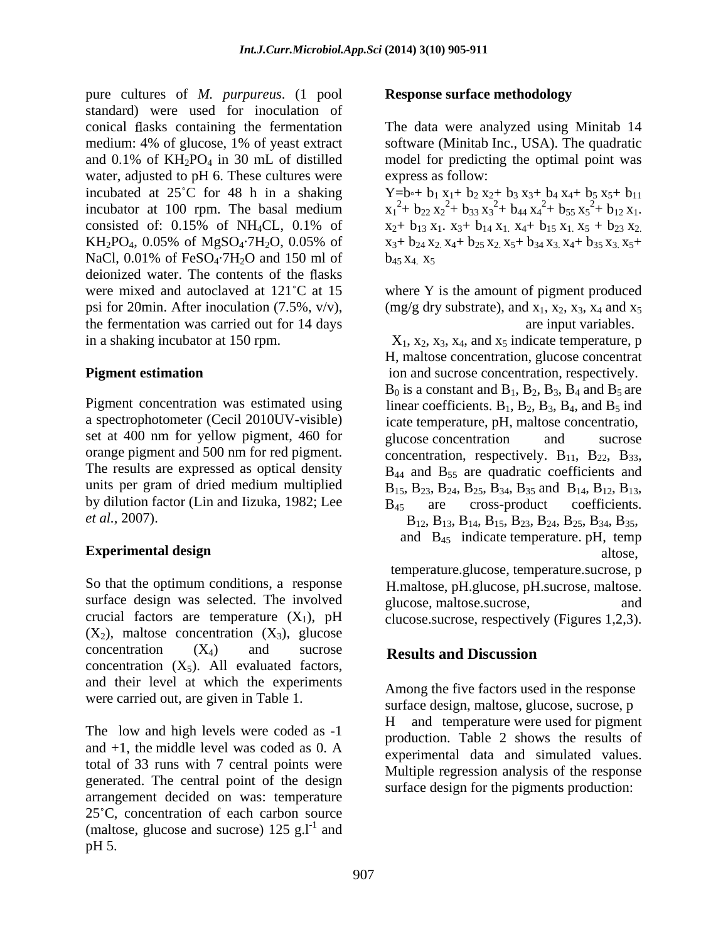pure cultures of *M. purpureus*. (1 pool standard) were used for inoculation of conical flasks containing the fermentation The data were analyzed using Minitab 14 medium: 4% of glucose, 1% of yeast extract software (Minitab Inc., USA). The quadratic and  $0.1\%$  of  $KH_2PO_4$  in 30 mL of distilled model for predicting the optimal point was water, adjusted to pH 6. These cultures were incubated at 25°C for 48 h in a shaking  $Y=b+ b_1 x_1+b_2 x_2+b_3 x_3+b_4 x_4+b_5 x_5+b_{11}$ incubator at 100 rpm. The basal medium consisted of: 0.15% of NH<sub>4</sub>CL, 0.1% of  $x_2 + b_{13}x_1$ ,  $x_3 + b_{14}x_1$ ,  $x_4 + b_{15}x_1$ ,  $x_5 + b_{23}x_2$ KH<sub>2</sub>PO<sub>4</sub>, 0.05% of MgSO<sub>4</sub>·7H<sub>2</sub>O, 0.05% of  $x_3 + b_{24}x_2$ ,  $x_4 + b_{25}x_2$ ,  $x_5 + b_{34}x_3$ ,  $x_4 + b_{35}x_3$ ,  $x_5 +$ NaCl, 0.01% of FeSO<sub>4</sub>.7H<sub>2</sub>O and 150 ml of  $b_{45}x_4$ ,  $x_5$ deionized water. The contents of the flasks were mixed and autoclaved at  $121^{\circ}$ C at 15 where Y is the amount of pigment produced psi for 20min. After inoculation (7.5%,  $v/v$ ), (mg/g dry substrate), and  $x_1$ ,  $x_2$ ,  $x_3$ ,  $x_4$  and  $x_5$ the fermentation was carried out for 14 days

set at 400 nm for yellow pigment, 460 for glucose concentration and sucrose orange pigment and 500 nm for red pigment. concentration, respectively.  $B_{11}$ ,  $B_{22}$ ,  $B_{33}$ , The results are expressed as optical density  $B_{44}$  and  $B_{55}$  are quadratic coefficients and by dilution factor (Lin and Iizuka, 1982; Lee  $B_{45}$  are cross-product coefficients.

#### **Experimental design and altose, and altose, altose, altose, altose, altose, altose, altose, altose, altose, altose, altose, altose, altose, altose, altose, altose, altose, altose, altose, altose, altose, altose, altose, a**

So that the optimum conditions, a response H.maltose, pH.glucose, pH.sucrose, maltose. surface design was selected. The involved glucose maltose sucrose. and and crucial factors are temperature  $(X_1)$ , pH clucose.sucrose, respectively (Figures 1,2,3).  $(X_2)$ , maltose concentration  $(X_3)$ , glucose concentration  $(X_4)$  and sucrose **Results and Discussion** concentration  $(X_5)$ . All evaluated factors, and their level at which the experiments were carried out, are given in Table 1.

The low and high levels were coded as  $-1$  H and  $+1$ , the middle level was coded as 0. A synarims and data and simulated values total of 33 runs with 7 central points were generated. The central point of the design arrangement decided on was: temperature 25 C, concentration of each carbon source (maltose, glucose and sucrose)  $125$  g.l<sup>-1</sup> and and  $pH$  5.

#### **Response surface methodology**

model for predicting the optimal point was express as follow:

 $x_1^2$ +  $b_{22}x_2^2$ +  $b_{33}x_3^2$ +  $b_{44}x_4^2$ +  $b_{55}x_5^2$ +  $b_{12}x_1$ .  $^{2}$ + b<sub>44</sub> x<sub>4</sub><sup>2</sup>+ b<sub>55</sub> x<sub>5</sub><sup>2</sup>+ b<sub>12</sub> x<sub>1</sub>.  $^{2}$ +  $b_{55}x_{5}^{2}$ +  $b_{12}x_{1}$ .  $x_1^2$ + b<sub>22</sub>  $x_2^2$ + b<sub>33</sub>  $x_3^2$ + b<sub>44</sub>  $x_4^2$ + b<sub>55</sub>  $x_5^2$ + b<sub>12</sub>  $x_1$ .<br> $x_2$ + b<sub>13</sub>  $x_1$ .  $x_3$ + b<sub>14</sub>  $x_1$ .  $x_4$ + b<sub>15</sub>  $x_1$ .  $x_5$  + b<sub>23</sub>  $x_2$ .  $x_3$ +  $b_2$ <sub>4</sub>  $x_2$ ,  $x_4$ +  $b_2$ <sub>5</sub>  $x_2$ ,  $x_5$ +  $b_3$ <sub>4</sub>  $x_3$ ,  $x_4$ +  $b_3$ <sub>5</sub>  $x_3$ ,  $x_5$ +  $b_{45}$   $x_{4}$ .  $x_{5}$ 

are input variables.

in a shaking incubator at 150 rpm.  $X_1, X_2, X_3, X_4$ , and  $X_5$  indicate temperature, p **Pigment estimation ion and sucrose concentration, respectively.** Pigment concentration was estimated using linear coefficients.  $B_1$ ,  $B_2$ ,  $B_3$ ,  $B_4$ , and  $B_5$  ind a spectrophotometer (Cecil 2010UV-visible) icate temperature, pH, maltose concentratio, units per gram of dried medium multiplied  $B_{15}$ ,  $B_{23}$ ,  $B_{24}$ ,  $B_{25}$ ,  $B_{34}$ ,  $B_{35}$  and  $B_{14}$ ,  $B_{12}$ ,  $B_{13}$ , *et al.*, 2007). **B**<sub>12</sub>, **B**<sub>13</sub>, **B**<sub>13</sub>, **B**<sub>14</sub>, **B**<sub>15</sub>, **B**<sub>23</sub>, **B**<sub>24</sub>, **B**<sub>25</sub>, **B**<sub>34</sub>, **B**<sub>35</sub>, H, maltose concentration, glucose concentrat  $B_0$  is a constant and  $B_1$ ,  $B_2$ ,  $B_3$ ,  $B_4$  and  $B_5$  are glucose concentration and sucrose concentration, respectively.  $B_{11}$ ,  $B_{22}$ ,  $B_{33}$ ,  $B_{44}$  and  $B_{55}$  are quadratic coefficients and  $B_{45}$  are cross-product coefficients.<br> $B_{12}$ ,  $B_{13}$ ,  $B_{14}$ ,  $B_{15}$ ,  $B_{23}$ ,  $B_{24}$ ,  $B_{25}$ ,  $B_{34}$ ,  $B_{35}$ , and  $B_{45}$  indicate temperature. pH, temp

altose,

temperature.glucose, temperature.sucrose, p glucose, maltose.sucrose,

# **Results and Discussion**

Among the five factors used in the response surface design, maltose, glucose, sucrose, p and temperature were used for pigment production. Table 2 shows the results of experimental data and simulated values. Multiple regression analysis of the response surface design for the pigments production: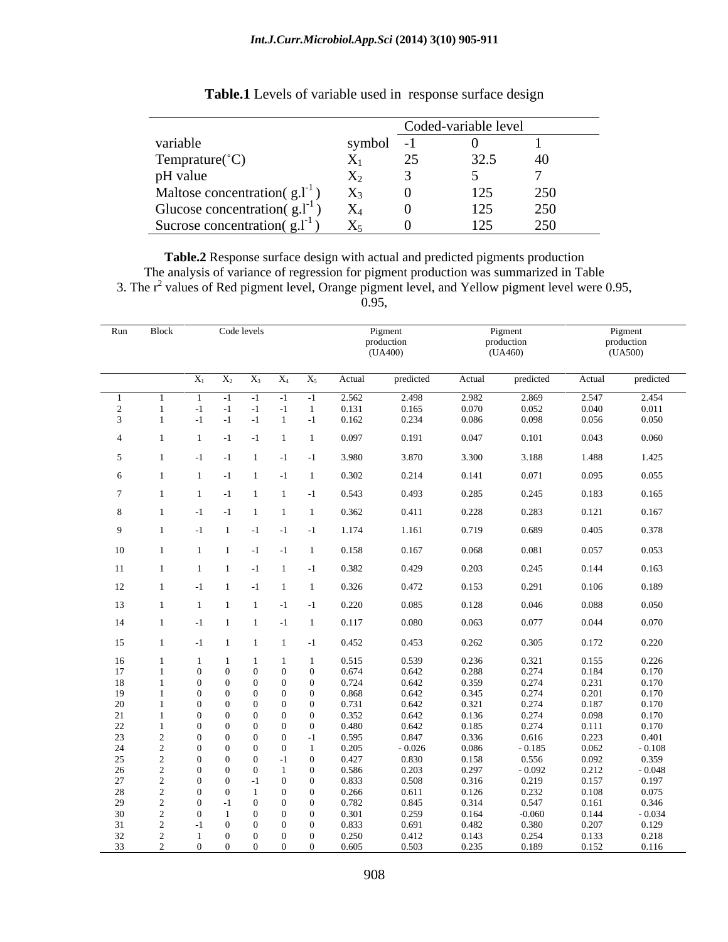|                                     |             |        | Coded-variable level |     |
|-------------------------------------|-------------|--------|----------------------|-----|
| variable                            | symbol -1   |        |                      |     |
| Temprature( $^{\circ}$ C)           | ∡⊾∣         | ∼<br>∼ | 32.<br>⊸،∠ب          | 40  |
| pH value                            | 4 S.Z       |        |                      |     |
| Maltose concentration( $g.l^{-1}$ ) | ZX3         |        | ⊥∠J                  | 250 |
| Glucose concentration(g.l]          |             |        | 125                  | 250 |
| Sucrose concentration( $g.l^{-1}$ ) | $ -$<br>ZX5 |        | 1つく                  | 250 |

**Table.1** Levels of variable used in response surface design

**Table.2** Response surface design with actual and predicted pigments production The analysis of variance of regression for pigment production was summarized in Table 3. The  $r^2$  values of Red pigment level, Orange pigment level, and Yellow pigment level were 0.95,

0.95,

|                                  | Run Block | Code levels                                                                 |                                                                      |                | Pigment<br>production<br>(UA400) |                | Pigment<br>production<br>(UA460) |                | Pigment<br>production<br>(UA500) |
|----------------------------------|-----------|-----------------------------------------------------------------------------|----------------------------------------------------------------------|----------------|----------------------------------|----------------|----------------------------------|----------------|----------------------------------|
|                                  |           | $X_1$ $X_2$ $X_3$ $X_4$ $X_5$                                               |                                                                      | Actual         | predicted                        | Actual         | predicted                        | Actual         | predicted                        |
| - 1                              |           | $-1$ $-1$ $-1$<br>$\frac{1}{2}$                                             | $-1$                                                                 | 2.562          | 2.498                            | 2.982          | 2.869                            | 2.547          | 2.454                            |
| $\overline{2}$<br>$\overline{3}$ |           | $-1$<br>$-1$<br>$-1$<br>$-1$<br>$-1$<br>$-1$                                | $-1$<br>$\sim$ 1<br>$-1$                                             | 0.131<br>0.162 | 0.165<br>0.234                   | 0.070<br>0.086 | 0.052<br>0.098                   | 0.040<br>0.056 | 0.011<br>0.050                   |
| $\overline{4}$                   |           | $-1$ 1<br>$-1$                                                              | $\blacksquare$                                                       | 0.097          | 0.191                            | 0.047          | 0.101                            | 0.043          | 0.060                            |
|                                  |           |                                                                             |                                                                      |                |                                  |                |                                  |                |                                  |
| $5^{\circ}$                      |           | $-1$<br>$-1$ 1 $-1$ $-1$                                                    |                                                                      | 3.980          | 3.870                            | 3.300          | 3.188                            | 1.488          | 1.425                            |
|                                  |           | $\overline{1}$<br>$-1$<br>$\overline{1}$                                    | $-1$                                                                 | 0.302          | 0.214                            | 0.141          | 0.071                            | 0.095          | 0.055                            |
|                                  |           | $1 \t -1 \t 1 \t 1 \t -1$                                                   |                                                                      | 0.543          | 0.493                            | 0.285          | 0.245                            | 0.183          | 0.165                            |
|                                  |           | $-1$<br>$-1$<br>$1 \quad 1$                                                 | $\mathbf{1}$                                                         | 0.362          | 0.411                            | 0.228          | 0.283                            | 0.121          | 0.167                            |
| 9                                |           | $1 -1 -1 -1 -1$<br>$-1$                                                     |                                                                      | 1.174          | 1.161                            | 0.719          | 0.689                            | 0.405          | 0.378                            |
| 10                               |           | $1 \t 1 \t -1 \t -1 \t 1$                                                   |                                                                      | 0.158          | 0.167                            | 0.068          | 0.081                            | 0.057          | 0.053                            |
| 11                               |           | $1 \t1 \t-1 \t1 \t-1$                                                       |                                                                      | 0.382          | 0.429                            | 0.203          | 0.245                            | 0.144          | 0.163                            |
| 12                               |           | $-1$ 1 $-1$ 1 1                                                             |                                                                      | 0.326          | 0.472                            | 0.153          | 0.291                            | 0.106          | 0.189                            |
| 13                               |           | $\overline{1}$<br>1 1                                                       | $-1$<br>$-1$                                                         | 0.220          | 0.085                            | 0.128          | 0.046                            | 0.088          | 0.050                            |
| 14                               |           | $1 \t 1 \t -1$<br>$-1$                                                      | $\mathbf{1}$                                                         | 0.117          | 0.080                            | 0.063          | 0.077                            | 0.044          | 0.070                            |
|                                  |           |                                                                             |                                                                      |                |                                  |                |                                  |                |                                  |
| 15                               |           | $1 \quad 1 \quad 1 \quad -1$<br>$-1$                                        |                                                                      | 0.452          | 0.453                            | 0.262          | 0.305                            | 0.172          | 0.220                            |
| 16<br>17                         |           | $\theta$<br>$\overline{0}$<br>$\Omega$                                      | $\overline{1}$<br>$\overline{0}$<br>$\overline{0}$                   | 0.515<br>0.674 | 0.539<br>0.642                   | 0.236<br>0.288 | 0.321<br>0.274                   | 0.155<br>0.184 | 0.226<br>0.170                   |
| 18                               |           | $\theta$<br>$\overline{0}$<br>$\overline{0}$                                | $\overline{0}$<br>$\mathbf{0}$                                       | 0.724          | 0.642                            | 0.359          | 0.274                            | 0.231          | 0.170                            |
| 19                               |           | $\theta$<br>$\overline{0}$<br>$\overline{0}$<br>$\theta$<br>$\Omega$<br>- 0 | $\overline{0}$<br>$\overline{0}$<br>$\overline{0}$                   | 0.868          | 0.642                            | 0.345<br>0.321 | 0.274                            | 0.201<br>0.187 | 0.170<br>0.170                   |
| 20<br>21                         |           | $\theta$<br>$\overline{0}$<br>- 0                                           | $\overline{0}$<br>$\overline{0}$<br>$\overline{0}$                   | 0.731<br>0.352 | 0.642<br>0.642                   | 0.136          | 0.274<br>0.274                   | 0.098          | 0.170                            |
| 22                               |           | $\Omega$<br>$\Omega$                                                        | $\overline{0}$<br>$\overline{0}$                                     | 0.480          | 0.642                            | 0.185          | 0.274                            | 0.111          | 0.170                            |
| 23<br>24                         |           | $\Omega$<br>$\Omega$<br>$\Omega$<br>$\Omega$                                | $\overline{0}$<br>$-1$<br>$\Omega$                                   | 0.595<br>0.205 | 0.847<br>$-0.026$                | 0.336<br>0.086 | 0.616<br>$-0.185$                | 0.223<br>0.062 | 0.401<br>$-0.108$                |
| 25                               |           | $\Omega$<br>$\Omega$                                                        | $-1$<br>$\overline{0}$                                               | 0.427          | 0.830                            | 0.158          | 0.556                            | 0.092          | 0.359                            |
| 26<br>27                         |           | $\Omega$<br>$\Omega$<br>$\Omega$<br>$-1$<br>- 0                             | $\overline{1}$<br>$\overline{0}$<br>$\overline{0}$<br>$\overline{0}$ | 0.586<br>0.833 | 0.203<br>0.508                   | 0.297<br>0.316 | $-0.092$<br>0.219                | 0.212<br>0.157 | $-0.048$<br>0.197                |
| 28                               |           | $\Omega$                                                                    | $\overline{0}$<br>$\overline{0}$                                     | 0.266          | 0.611                            | 0.126          | 0.232                            | 0.108          | 0.075                            |
| 29                               |           | $\Omega$<br>$\Omega$<br>$\Omega$<br>$\Omega$                                | $\Omega$<br>$\Omega$<br>$\Omega$                                     | 0.782          | 0.845                            | 0.314          | 0.547                            | 0.161          | 0.346                            |
| 30<br>31                         |           | $\Omega$<br>$-1$                                                            | $\Omega$<br>$\Omega$<br>$\Omega$                                     | 0.301<br>0.833 | 0.259<br>0.691                   | 0.164<br>0.482 | $-0.060$<br>0.380                | 0.144<br>0.207 | $-0.034$<br>0.129                |
| 32                               |           | $\Omega$<br>$\Omega$                                                        | $\overline{0}$<br>$\Omega$                                           | 0.250          | 0.412                            | 0.143          | 0.254                            | 0.133          | 0.218                            |
| $\frac{33}{2}$                   |           | $\overline{0}$<br>$\overline{0}$<br>$\overline{0}$                          | $\Omega$<br>$\Omega$                                                 | 0.605          | 0.503                            | 0.235          | 0.189                            | 0.152          | 0.116                            |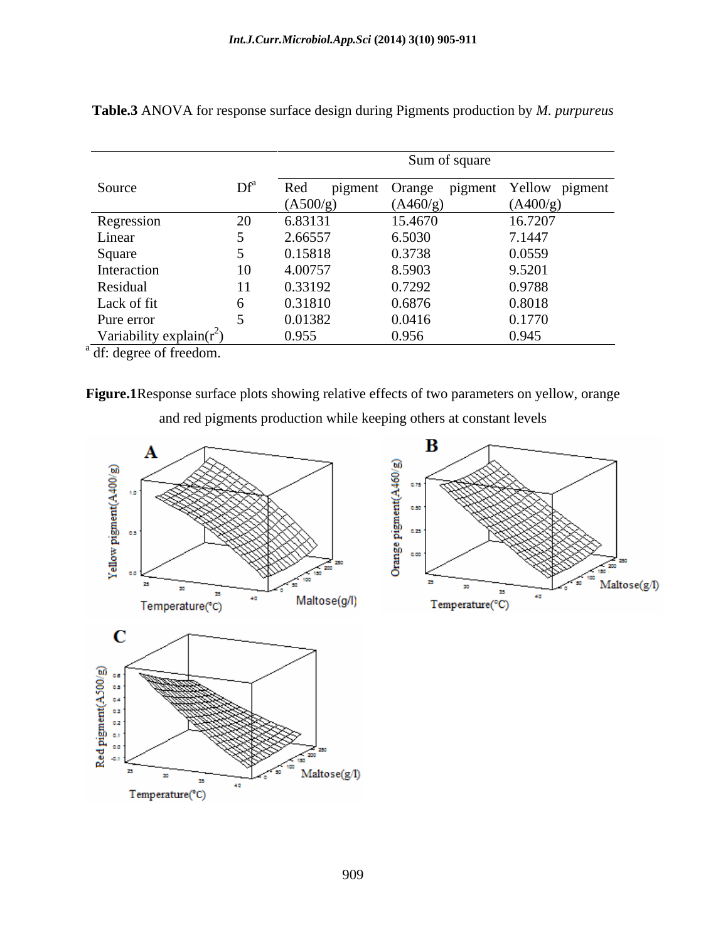|                              |                 |          | Sum of square                         |          |
|------------------------------|-----------------|----------|---------------------------------------|----------|
| Source                       | $\mathrm{Df}^a$ | Red      | pigment Orange pigment Yellow pigment |          |
|                              |                 | (A500/g) | (A460/g)                              | (A400/g) |
| Regression                   |                 | 6.83131  | 15.4670                               | 16.7207  |
| Linear                       |                 | 2.66557  | 6.5030                                | 7.1447   |
| Square                       |                 | 0.15818  | 0.3738                                | 0.0559   |
| Interaction                  | 10              | 4.00757  | 8.5903                                | 9.5201   |
| Residual                     | 11              | 0.33192  | 0.7292                                | 0.9788   |
| Lack of fit                  |                 | 0.31810  | 0.6876                                | 0.8018   |
| Pure error                   |                 | 0.01382  | 0.0416                                | 0.1770   |
| Variability explain( $r^2$ ) |                 | 0.955    | 0.956                                 | 0.945    |

**Table.3** ANOVA for response surface design during Pigments production by *M. purpureus*

a df: degree of freedom.

25

30

 $\label{eq:reprerature} Temperature(^{\circ}\text{C})$ 

25

40

**Figure.1**Response surface plots showing relative effects of two parameters on yellow, orange and red pigments production while keeping others at constant levels



Maltose(g/l)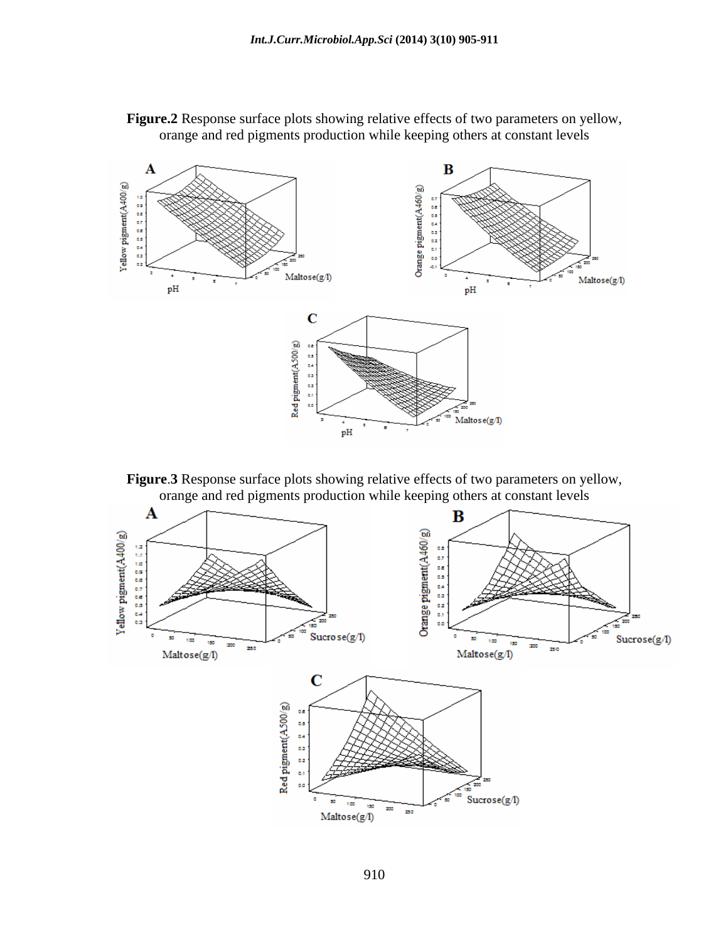



**Figure 3** Response surface plots showing relative effects of two parameters on yellow, orange and red pigments production while keeping others at constant levels